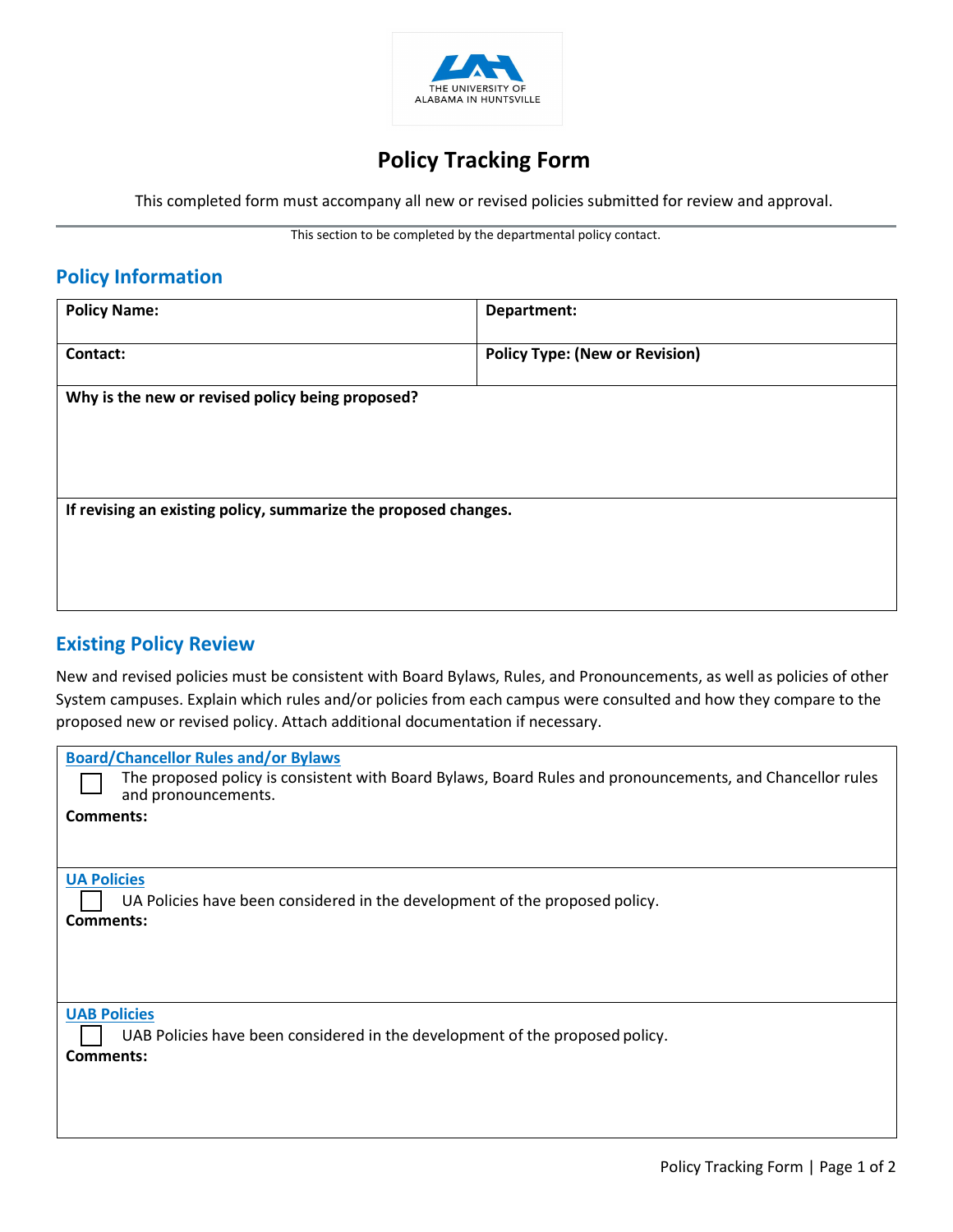

# Policy Tracking Form

This completed form must accompany all new or revised policies submitted for review and approval.

This section to be completed by the departmental policy contact.

### Policy Information

| <b>Policy Name:</b>                                             | Department:                           |  |
|-----------------------------------------------------------------|---------------------------------------|--|
| Contact:                                                        | <b>Policy Type: (New or Revision)</b> |  |
| Why is the new or revised policy being proposed?                |                                       |  |
|                                                                 |                                       |  |
|                                                                 |                                       |  |
| If revising an existing policy, summarize the proposed changes. |                                       |  |
|                                                                 |                                       |  |
|                                                                 |                                       |  |
|                                                                 |                                       |  |

## Existing Policy Review

New and revised policies must be consistent with Board Bylaws, Rules, and Pronouncements, as well as policies of other System campuses. Explain which rules and/or policies from each campus were consulted and how they compare to the proposed new or revised policy. Attach additional documentation if necessary.

| <b>Board/Chancellor Rules and/or Bylaws</b><br>The proposed policy is consistent with Board Bylaws, Board Rules and pronouncements, and Chancellor rules<br>and pronouncements. |
|---------------------------------------------------------------------------------------------------------------------------------------------------------------------------------|
| Comments:                                                                                                                                                                       |
|                                                                                                                                                                                 |
| <b>UA Policies</b><br>UA Policies have been considered in the development of the proposed policy.<br>Comments:                                                                  |
| <b>UAB Policies</b><br>UAB Policies have been considered in the development of the proposed policy.<br>Comments:                                                                |
|                                                                                                                                                                                 |